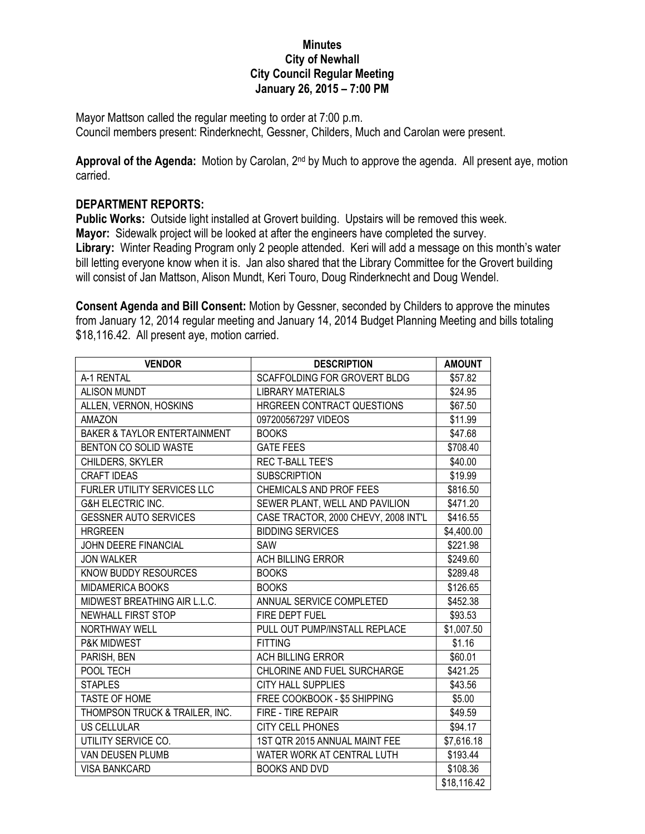## **Minutes City of Newhall City Council Regular Meeting January 26, 2015 – 7:00 PM**

Mayor Mattson called the regular meeting to order at 7:00 p.m. Council members present: Rinderknecht, Gessner, Childers, Much and Carolan were present.

**Approval of the Agenda:** Motion by Carolan, 2nd by Much to approve the agenda. All present aye, motion carried.

## **DEPARTMENT REPORTS:**

**Public Works:** Outside light installed at Grovert building. Upstairs will be removed this week. **Mayor:** Sidewalk project will be looked at after the engineers have completed the survey. **Library:** Winter Reading Program only 2 people attended. Keri will add a message on this month's water bill letting everyone know when it is. Jan also shared that the Library Committee for the Grovert building will consist of Jan Mattson, Alison Mundt, Keri Touro, Doug Rinderknecht and Doug Wendel.

**Consent Agenda and Bill Consent:** Motion by Gessner, seconded by Childers to approve the minutes from January 12, 2014 regular meeting and January 14, 2014 Budget Planning Meeting and bills totaling \$18,116.42. All present aye, motion carried.

| <b>VENDOR</b>                           | <b>DESCRIPTION</b>                   | <b>AMOUNT</b> |
|-----------------------------------------|--------------------------------------|---------------|
| A-1 RENTAL                              | <b>SCAFFOLDING FOR GROVERT BLDG</b>  | \$57.82       |
| <b>ALISON MUNDT</b>                     | <b>LIBRARY MATERIALS</b>             | \$24.95       |
| ALLEN, VERNON, HOSKINS                  | HRGREEN CONTRACT QUESTIONS           | \$67.50       |
| <b>AMAZON</b>                           | 097200567297 VIDEOS                  | \$11.99       |
| <b>BAKER &amp; TAYLOR ENTERTAINMENT</b> | <b>BOOKS</b>                         | \$47.68       |
| BENTON CO SOLID WASTE                   | <b>GATE FEES</b>                     | \$708.40      |
| CHILDERS, SKYLER                        | <b>REC T-BALL TEE'S</b>              | \$40.00       |
| <b>CRAFT IDEAS</b>                      | <b>SUBSCRIPTION</b>                  | \$19.99       |
| FURLER UTILITY SERVICES LLC             | CHEMICALS AND PROF FEES              | \$816.50      |
| <b>G&amp;H ELECTRIC INC.</b>            | SEWER PLANT, WELL AND PAVILION       | \$471.20      |
| <b>GESSNER AUTO SERVICES</b>            | CASE TRACTOR, 2000 CHEVY, 2008 INT'L | \$416.55      |
| <b>HRGREEN</b>                          | <b>BIDDING SERVICES</b>              | \$4,400.00    |
| JOHN DEERE FINANCIAL                    | SAW                                  | \$221.98      |
| <b>JON WALKER</b>                       | <b>ACH BILLING ERROR</b>             | \$249.60      |
| KNOW BUDDY RESOURCES                    | <b>BOOKS</b>                         | \$289.48      |
| MIDAMERICA BOOKS                        | <b>BOOKS</b>                         | \$126.65      |
| MIDWEST BREATHING AIR L.L.C.            | ANNUAL SERVICE COMPLETED             | \$452.38      |
| NEWHALL FIRST STOP                      | FIRE DEPT FUEL                       | \$93.53       |
| NORTHWAY WELL                           | PULL OUT PUMP/INSTALL REPLACE        | \$1,007.50    |
| P&K MIDWEST                             | <b>FITTING</b>                       | \$1.16        |
| PARISH, BEN                             | <b>ACH BILLING ERROR</b>             | \$60.01       |
| POOL TECH                               | CHLORINE AND FUEL SURCHARGE          | \$421.25      |
| <b>STAPLES</b>                          | <b>CITY HALL SUPPLIES</b>            | \$43.56       |
| <b>TASTE OF HOME</b>                    | FREE COOKBOOK - \$5 SHIPPING         | \$5.00        |
| THOMPSON TRUCK & TRAILER, INC.          | FIRE - TIRE REPAIR                   | \$49.59       |
| <b>US CELLULAR</b>                      | <b>CITY CELL PHONES</b>              | \$94.17       |
| UTILITY SERVICE CO.                     | 1ST QTR 2015 ANNUAL MAINT FEE        | \$7,616.18    |
| VAN DEUSEN PLUMB                        | WATER WORK AT CENTRAL LUTH           | \$193.44      |
| <b>VISA BANKCARD</b>                    | <b>BOOKS AND DVD</b>                 | \$108.36      |
|                                         |                                      | \$18,116.42   |